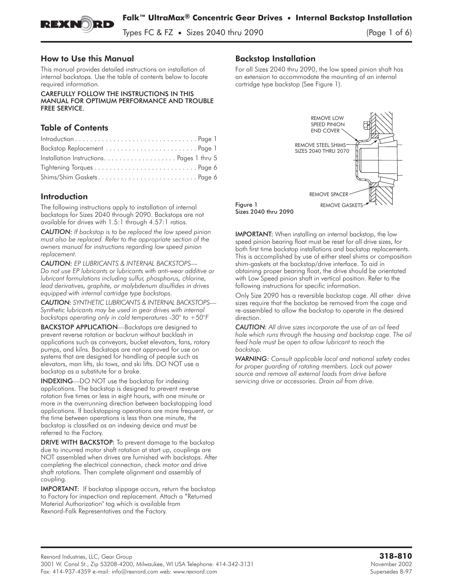

Types FC & FZ **•** Sizes 2040 thru 2090 (Page 1 of 6)

## **How to Use this Manual**

How to Use this Manual This manual provides detailed instructions on installation of internal backstops. Use the table of contents below to locate required information.

CAREFULLY FOLLOW THE INSTRUCTIONS IN THIS FREE SERVICE. FREE SERVICE.

# **Table of Contents**

# **Introduction**

The following instructions apply to installation of internal backstops for Sizes 2040 through 2090. Backstops are not available for drives with 1.5:1 through 4.57:1 ratios.

*CAUTION: If backstop is to be replaced the low speed pinion must also be replaced. Refer to the appropriate section of the owners manual for instructions regarding low speed pinion replacement.*

*CAUTION: EP LUBRICANTS & INTERNAL BACKSTOPS— Do not use EP lubricants or lubricants with anti-wear additive or lubricant formulations including sulfur, phosphorus, chlorine, lead derivatives, graphite, or molybdenum disulfides in drives equipped with internal cartridge type backstops.*

*CAUTION: SYNTHETIC LUBRICANTS & INTERNAL BACKSTOPS— Synthetic lubricants may be used in gear drives with internal backstops operating only in cold temperatures -30° to +50°F*

BACKSTOP APPLICATION—Backstops are designed to prevent reverse rotation or backrun without backlash in applications such as conveyors, bucket elevators, fans, rotary pumps, and kilns. Backstops are not approved for use on systems that are designed for handling of people such as elevators, man **lifts, ski** tows, and **ski lifts. DO NOT** use a backstop as a substitute for a brake.

INDEXING—DO NOT use the backstop for indexing applications. The backstop is designed to prevent reverse rotation five times or less in eight hours, with one minute or more in the overrunning direction between backstopping load applications. If backstopping operations are more frequent, or the time between operations is less than one minute, the backstop is classified as an indexing device and must be referred to the Factory.

DRIVE WITH BACKSTOP: To prevent damage to the backstop due to incurred motor shaft rotation at start up, couplings are NOT assembled when drives are furnished with backstops. After completing the electrical connection, check motor and drive shaft rotations. Then complete alignment and assembly of coupling.

IMPORTANT: If backstop slippage occurs, return the backstop to Factory for inspection and replacement. Attach a "Returned Material Authorization" tag which is available from Rexnord-Falk Representatives and the Factory.

For all Sizes 2040 thru 2090, the low speed pinion shaft has an extension to accommodate the mounting of an internal cartridge type backstop (See Figure 1).



IMPORTANT: When installing an internal backstop, the low speed pinion bearing float must be reset for all drive sizes, for both first time backstop installations and backstop replacements. This is accomplished by use of either steel shims or composition shim-gaskets at the backstop/drive interface. To aid in obtaining proper bearing float, the drive should be orientated with Low Speed pinion shaft in vertical position. Refer to the following instructions for specific information.

Only Size 2090 has a reversible backstop cage. All other drive sizes require that the backstop be removed from the cage and re-assembled to allow the backstop to operate in the desired direction.

*CAUTION: All drive sizes incorporate the use of an oil feed hole which runs through the housing and backstop cage. The oil feed hole must be open to allow lubricant to reach the backstop.*

*WARNING: Consult applicable local and national safety codes for proper guarding of rotating members. Lock out power source and remove all external loads from drive before servicing drive or accessories. Drain oil from drive.*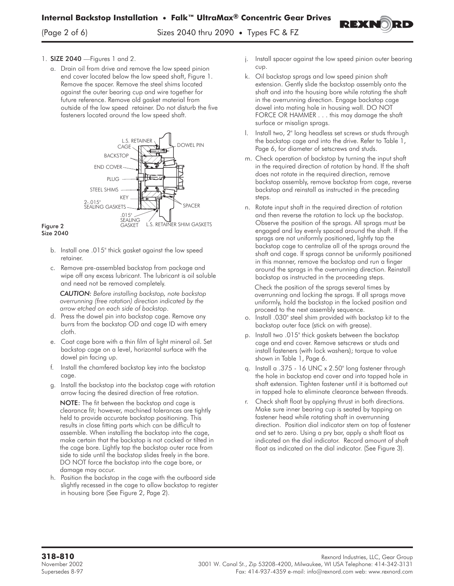

a. Drain oil from drive and remove the low speed pinion end cover located below the low speed shaft, Figure 1. Remove the spacer. Remove the steel shims located against the outer bearing cup and wire together for future reference. Remove old gasket material from outside of the low speed retainer. Do not disturb the five fasteners located around the low speed shaft.



Figure 2<br>Size 2040

- b. Install one .015" thick gasket against the low speed retainer.
- c. Remove pre-assembled backstop from package and wipe off any excess lubricant. The lubricant is oil soluble and need not be removed completely.

*CAUTION: Before installing backstop, note backstop overrunning (free rotation) direction indicated by the arrow etched on each side of backstop*.

- d. Press the dowel pin into backstop cage. Remove any burrs from the backstop OD and cage ID with emery cloth.
- e. Coat cage bore with a thin film of light mineral oil. Set backstop cage on a level, horizontal surface with the dowel pin facing up.
- f. Install the chamfered backstop key into the backstop cage.
- g. Install the backstop into the backstop cage with rotation arrow facing the desired direction of free rotation.

NOTE: The fit between the backstop and cage is clearance fit; however, machined tolerances are tightly held to provide accurate backstop positioning. This results in close fitting parts which can be difficult to assemble. When installing the backstop into the cage, make certain that the backstop is not cocked or tilted in the cage bore. Lightly tap the backstop outer race from side to side until the backstop slides freely in the bore. DO NOT force the backstop into the cage bore, or damage may occur.

h. Position the backstop in the cage with the outboard side slightly recessed in the cage to allow backstop to register **in housing bore (See Figure 2, Page 2).**

j. Install spacer against the low speed pinion outer bearing cup.

REXNORF

- k. Oil backstop sprags and low speed pinion shaft extension. Gently slide the backstop assembly onto the shaft and into the housing bore while rotating the shaft in the overrunning direction. Engage backstop cage dowel into mating hole in housing wall. DO NOT FORCE OR HAMMER . . . this may damage the shaft surface or misalign sprags.
- l. Install two, 2" long headless set screws or studs through the backstop cage and into the drive. Refer to Table 1, Page 6, for diameter of setscrews and studs.
- m. Check operation of backstop by turning the input shaft in the required direction of rotation by hand. If the shaft does not rotate in the required direction, remove backstop assembly, remove backstop from cage, reverse backstop and reinstall as instructed in the preceding steps.
- n. Rotate input shaft in the required direction of rotation and then reverse the rotation to lock up the backstop. Observe the position of the sprags. All sprags must be engaged and lay evenly spaced around the shaft. If the sprags are not uniformly positioned, lightly tap the backstop cage to centralize all of the sprags around the shaft and cage. If sprags cannot be uniformly positioned in this manner, remove the backstop and run a finger around the sprags in the overrunning direction. Reinstall backstop as instructed in the proceeding steps.

Check the position of the sprags several times by overrunning and locking the sprags. If all sprags move uniformly, hold the backstop in the locked position and proceed to the next assembly sequence.

- o. Install .030" steel shim provided with backstop kit to the backstop outer face (stick on with grease).
- p. Install two .015" thick gaskets between the backstop cage and end cover. Remove setscrews or studs and install fasteners (with lock washers); torque to value shown in Table 1, Page 6.
- q. Install a .375 16 UNC x 2.50" long fastener through the hole in backstop end cover and into tapped hole in shaft extension. Tighten fastener until it is bottomed out in tapped hole to eliminate clearance between threads.
- r. Check shaft float by applying thrust in both directions. Make sure inner bearing cup is seated by tapping on fastener head while rotating shaft in overrunning direction. Position dial indicator stem on top of fastener and set to zero. Using a pry bar, apply a shaft float as indicated on the dial indicator. Record amount of shaft float as indicated on the dial indicator. (See Figure 3).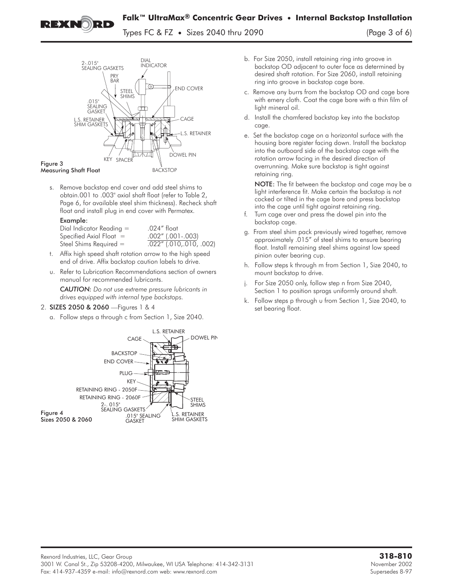

Types FC & FZ **•** Sizes 2040 thru 2090 (Page 3 of 6)

.<br>OWEL PIN KEY SPACER STEEL SHIMS END COVER **BACKSTOP** CAGE L.S. RETAINER L.S. RETAINER SHIM GASKET .015" SEALING GASKET 2-.015" SEALING GASKETS PRY BAR DIAL INDICATOR

### $M<sub>2</sub>$ ensuri Measuring Shaft Float

s. Remove backstop end cover and add steel shims to obtain.001 to .003" axial shaft float (refer to Table 2, Page 6, for available steel shim thickness). Recheck shaft float and install plug in end cover with Permatex.

| Dial Indicator Reading $=$ | .024" float                   |
|----------------------------|-------------------------------|
| Specified Axial Float $=$  | $.002''$ (.001 $-.003$ )      |
| Steel Shims Required $=$   | $.022''$ $(.010, .010, .002)$ |

- t. Affix high speed shaft rotation arrow to the high speed end of drive. Affix backstop caution labels to drive.
- u. Refer to Lubrication Recommendations section of owners manual for recommended lubricants.

*CAUTION: Do not use extreme pressure lubricants in drives equipped with internal type backstops.*

## 2. SIZES 2050 & 2060 - Figures 1 & 4

a. Follow steps a through c from Section 1, Size 2040.



- b. For Size 2050, install retaining ring into groove in backstop OD adjacent to outer face as determined by desired shaft rotation. For Size 2060, install retaining ring into groove in backstop cage bore.
- c. Remove any burrs from the backstop OD and cage bore with emery cloth. Coat the cage bore with a thin film of light mineral oil.
- d. Install the chamfered backstop key into the backstop cage.
- e. Set the backstop cage on a horizontal surface with the housing bore register facing down. Install the backstop into the outboard side of the backstop cage with the rotation arrow facing in the desired direction of overrunning. Make sure backstop is tight against retaining ring.

NOTE: The fit between the backstop and cage may be a light interference fit. Make certain the backstop is not cocked or tilted in the cage bore and press backstop into the cage until tight against retaining ring.

- f. Turn cage over and press the dowel pin into the backstop cage.
- g. From steel shim pack previously wired together, remove approximately .015" of steel shims to ensure bearing float. Install remaining steel shims against low speed pinion outer bearing cup.
- h. Follow steps k through m from Section 1, Size 2040, to mount backstop to drive.
- j. For Size 2050 only, follow step n from Size 2040, Section 1 to position sprags uniformly around shaft.
- k. Follow steps p through u from Section 1, Size 2040, to set bearing float.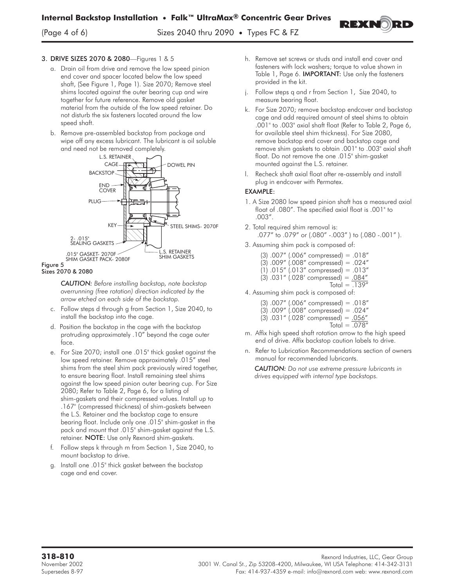(Page 4 of 6) Sizes 2040 thru 2090 **•** Types FC & FZ



## 3. DRIVE SIZES 2070 & 2080-Figures 1 & 5

- a. Drain oil from drive and remove the low speed pinion end cover and spacer located below the low speed shaft, (See Figure 1, Page 1). Size 2070; Remove steel shims located against the outer bearing cup and wire together for future reference. Remove old gasket material from the outside of the low speed retainer. Do not disturb the six fasteners located around the low speed shaft.
- b. Remove pre-assembled backstop from package and wipe off any excess lubricant. The lubricant is oil soluble and need not be removed completely.



### $Sizas 20$

*CAUTION: Before installing backstop, note backstop overrunning (free rotation) direction indicated by the arrow etched on each side of the backstop.*

- c. Follow steps d through g from Section 1, Size 2040, to install the backstop into the cage.
- d. Position the backstop in the cage with the backstop protruding approximately .10" beyond the cage outer face.
- e. For Size 2070; install one .015" thick gasket against the low speed retainer. Remove approximately .015" steel shims from the steel shim pack previously wired together, to ensure bearing float. Install remaining steel shims against the low speed pinion outer bearing cup. For Size 2080; Refer to Table 2, Page 6, for a listing of shim-gaskets and their compressed values. Install up to .167" (compressed thickness) of shim-gaskets between the L.S. Retainer and the backstop cage to ensure bearing float. Include only one .015" shim-gasket in the pack and mount that .015" shim-gasket against the L.S. retainer. NOTE: Use only Rexnord shim-gaskets.
- f. Follow steps k through m from Section 1, Size 2040, to mount backstop to drive.
- g. Install one .015" thick gasket between the backstop cage and end cover.
- h. Remove set screws or studs and install end cover and fasteners with lock washers; torque to value shown in Table 1, Page 6. **IMPORTANT:** Use only the fasteners provided in the kit.
- j. Follow steps q and r from Section 1, Size 2040, to measure bearing float.
- k. For Size 2070; remove backstop endcover and backstop cage and add required amount of steel shims to obtain .001" to .003" axial shaft float (Refer to Table 2, Page 6, for available steel shim thickness). For Size 2080, remove backstop end cover and backstop cage and remove shim gaskets to obtain .001" to .003" axial shaft float. Do not remove the one .015" shim-gasket mounted against the L.S. retainer.
- l. Recheck shaft axial float after re-assembly and install plug in endcover with Permatex.

- 1. A Size 2080 low speed pinion shaft has a measured axial float of .080". The specified axial float is .001" to .003".
- 2. Total required shim removal is: .077" to .079" or (.080" -.003" ) to (.080 -.001" ).
- 3. Assuming shim pack is composed of:
	- (3) .007" (.006" compressed) = .018"
	- (3) .009" (.008" compressed) = .024"
	- (1) .015" (.013" compressed) = .013"
	- $(3)$  .031" (.028' compressed) =  $.084"$  $Total = .139"$ 
		-
- 4. Assuming shim pack is composed of:
	- (3) .007" (.006" compressed) = .018"
	- $(3)$  .009" (.008" compressed) = .024"
	- (3)  $.031''$  (.028' compressed) =  $.056''$ 
		- $Total = .078"$
- m. Affix high speed shaft rotation arrow to the high speed end of drive. Affix backstop caution labels to drive.
- n. Refer to Lubrication Recommendations section of owners manual for recommended lubricants.

*CAUTION: Do not use extreme pressure lubricants in drives equipped with internal type backstops.*

**318-810** Rexnord Industries, LLC, Gear Group November 2002 3001 W. Canal St., Zip 53208-4200, Milwaukee, WI USA Telephone: 414-342-3131 Supersedes 8-97 Fax: 414-937-4359 e-mail: info@rexnord.com web: www.rexnord.com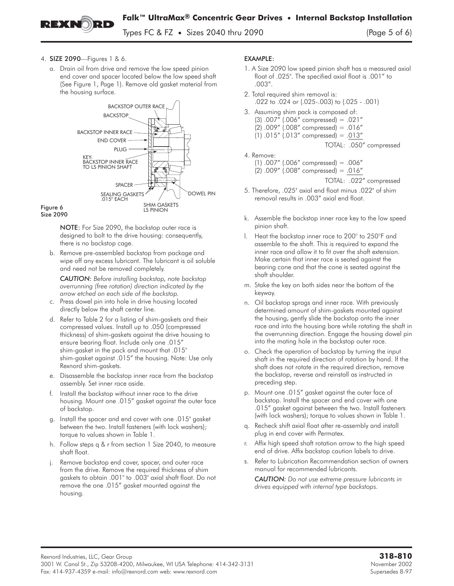

Types FC & FZ **•** Sizes 2040 thru 2090 (Page 5 of 6)

- 4. SIZE 2090—Figures 1 & 6.
	- a. Drain oil from drive and remove the low speed pinion end cover and spacer located below the low speed shaft (See Figure 1, Page 1). Remove old gasket material from the housing surface.



NOTE: For Size 2090, the backstop outer race is designed to bolt to the drive housing: consequently, there is no backstop cage.

b. Remove pre-assembled backstop from package and wipe off any excess lubricant. The lubricant is oil soluble and need not be removed completely.

*CAUTION: Before installing backstop, note backstop overrunning (free rotation) direction indicated by the arrow etched on each side of the backstop.*

- c. Press dowel pin into hole in drive housing located directly below the shaft center line.
- d. Refer to Table 2 for a listing of shim-gaskets and their compressed values. Install up to .050 (compressed thickness) of shim-gaskets against the drive housing to ensure bearing float. Include only one .015" shim-gasket in the pack and mount that .015" shim-gasket against .015" the housing. Note: Use only Rexnord shim-gaskets.
- e. Disassemble the backstop inner race from the backstop assembly. Set inner race aside.
- f. Install the backstop without inner race to the drive housing. Mount one .015" gasket against the outer face of backstop.
- g. Install the spacer and end cover with one .015" gasket **between the two. Install fasteners (with lock washers);**
- **torque to values shown in Table 1.** h. Follow stepsq&r from section 1 Size 2040, to measure shaft float.
- j. Remove backstop end cover, spacer, and outer race from the drive. Remove the required thickness of shim gaskets to obtain .001" to .003" axial shaft float. Do not remove the one .015" gasket mounted against the housing.

- ECHECH: EXAMPLE:<br>1. A Size 2090 low speed pinion shaft has a measured axial float of .025". The specified axial float is .001" to .003".
- 2. Total required shim removal is: .022 to .024 or (.025-.003) to (.025 - .001)
- 3. Assuming shim pack is composed of:
	- (3) .007" (.006" compressed) = .021"
	- $(2)$  .009"  $(.008"$  compressed) = .016"
	- (1) .015" (.013" compressed) = .013"
		- TOTAL: .050" compressed
- 4. Remove:
	- (1) .007" (.006" compressed) = .006"
	- (2) .009" (.008" compressed) = .016"

TOTAL: .022" compressed

- 5. Therefore, .025" axial end float minus .022" of shim removal results in .003" axial end float.
- k. Assemble the backstop inner race key to the low speed pinion shaft.
- l. Heat the backstop inner race to 200° to 250°F and assemble to the shaft. This is required to expand the inner race and allow it to fit over the shaft extension. Make certain that inner race is seated against the bearing cone and that the cone is seated against the shaft shoulder.
- m. Stake the key on both sides near the bottom of the keyway.
- n. Oil backstop sprags and inner race. With previously determined amount of shim-gaskets mounted against the housing, gently slide the backstop onto the inner race and into the housing bore while rotating the shaft in the overrunning direction. Engage the housing dowel pin into the mating hole in the backstop outer race.
- o. Check the operation of backstop by turning the input shaft in the required direction of rotation by hand. If the shaft does not rotate in the required direction, remove the backstop, reverse and reinstall as instructed in preceding step.
- p. Mount one .015" gasket against the outer face of backstop. Install the spacer and end cover with one .015" gasket against between the two. Install fasteners (with lock washers); torque to values shown in Table 1.
- q. Recheck shift axial float after re-assembly and install plug in end cover with Permatex.
- r. Affix high speed shaft rotation arrow to the high speed end of drive. Affix backstop caution labels to drive.
- s. Refer to Lubrication Recommendation section of owners manual for recommended lubricants.

*CAUTION: Do not use extreme pressure lubricants in drives equipped with internal type backstops.*